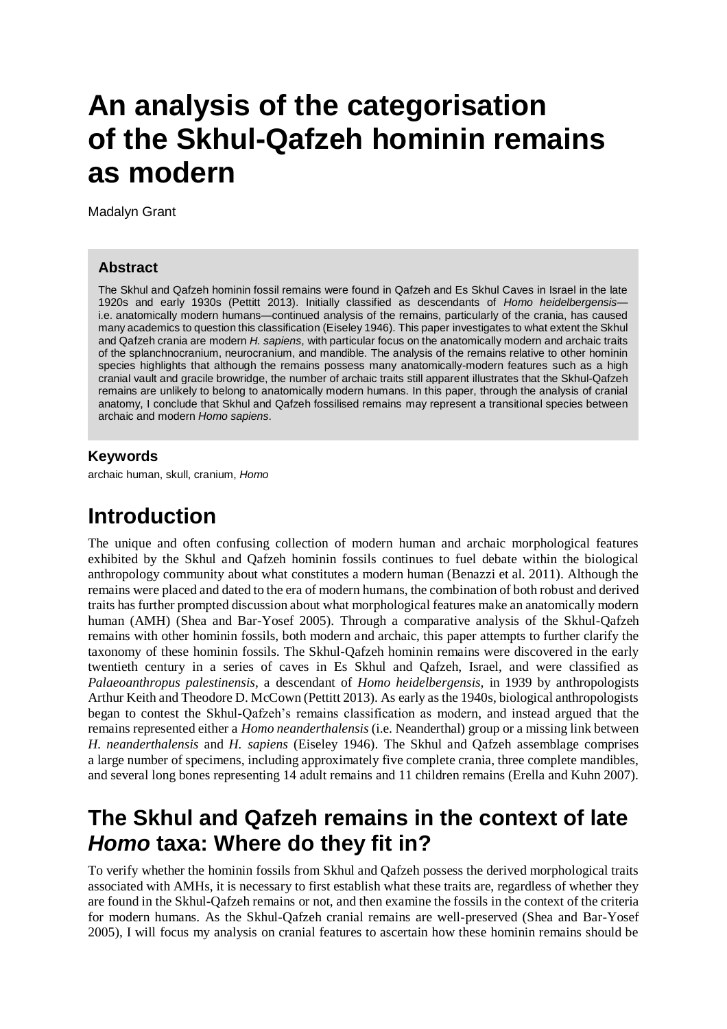# **An analysis of the categorisation of the Skhul-Qafzeh hominin remains as modern**

Madalyn Grant

#### **Abstract**

The Skhul and Qafzeh hominin fossil remains were found in Qafzeh and Es Skhul Caves in Israel in the late 1920s and early 1930s (Pettitt 2013). Initially classified as descendants of *Homo heidelbergensis* i.e. anatomically modern humans—continued analysis of the remains, particularly of the crania, has caused many academics to question this classification (Eiseley 1946). This paper investigates to what extent the Skhul and Qafzeh crania are modern *H. sapiens*, with particular focus on the anatomically modern and archaic traits of the splanchnocranium, neurocranium, and mandible. The analysis of the remains relative to other hominin species highlights that although the remains possess many anatomically-modern features such as a high cranial vault and gracile browridge, the number of archaic traits still apparent illustrates that the Skhul-Qafzeh remains are unlikely to belong to anatomically modern humans. In this paper, through the analysis of cranial anatomy, I conclude that Skhul and Qafzeh fossilised remains may represent a transitional species between archaic and modern *Homo sapiens*.

#### **Keywords**

archaic human, skull, cranium, *Homo*

### **Introduction**

The unique and often confusing collection of modern human and archaic morphological features exhibited by the Skhul and Qafzeh hominin fossils continues to fuel debate within the biological anthropology community about what constitutes a modern human (Benazzi et al. 2011). Although the remains were placed and dated to the era of modern humans, the combination of both robust and derived traits has further prompted discussion about what morphological features make an anatomically modern human (AMH) (Shea and Bar-Yosef 2005). Through a comparative analysis of the Skhul-Qafzeh remains with other hominin fossils, both modern and archaic, this paper attempts to further clarify the taxonomy of these hominin fossils. The Skhul-Qafzeh hominin remains were discovered in the early twentieth century in a series of caves in Es Skhul and Qafzeh, Israel, and were classified as *Palaeoanthropus palestinensis*, a descendant of *Homo heidelbergensis,* in 1939 by anthropologists Arthur Keith and Theodore D. McCown (Pettitt 2013). As early as the 1940s, biological anthropologists began to contest the Skhul-Qafzeh's remains classification as modern, and instead argued that the remains represented either a *Homo neanderthalensis* (i.e. Neanderthal) group or a missing link between *H. neanderthalensis* and *H. sapiens* (Eiseley 1946). The Skhul and Qafzeh assemblage comprises a large number of specimens, including approximately five complete crania, three complete mandibles, and several long bones representing 14 adult remains and 11 children remains (Erella and Kuhn 2007).

### **The Skhul and Qafzeh remains in the context of late**  *Homo* **taxa: Where do they fit in?**

To verify whether the hominin fossils from Skhul and Qafzeh possess the derived morphological traits associated with AMHs, it is necessary to first establish what these traits are, regardless of whether they are found in the Skhul-Qafzeh remains or not, and then examine the fossils in the context of the criteria for modern humans. As the Skhul-Qafzeh cranial remains are well-preserved (Shea and Bar-Yosef 2005), I will focus my analysis on cranial features to ascertain how these hominin remains should be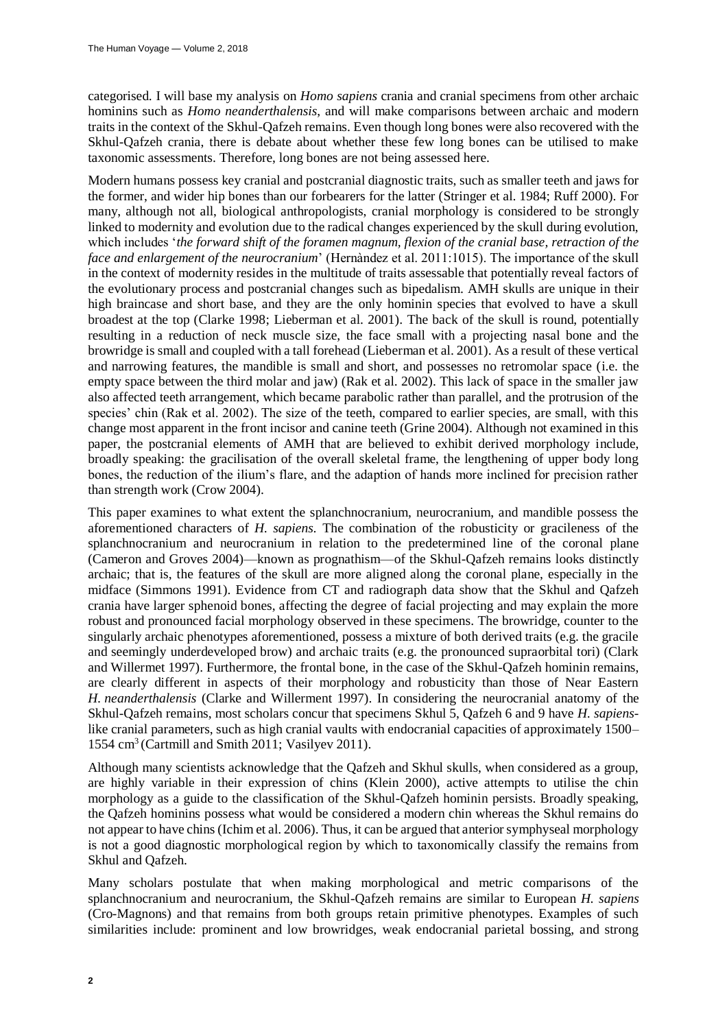categorised. I will base my analysis on *Homo sapiens* crania and cranial specimens from other archaic hominins such as *Homo neanderthalensis*, and will make comparisons between archaic and modern traits in the context of the Skhul-Qafzeh remains. Even though long bones were also recovered with the Skhul-Qafzeh crania, there is debate about whether these few long bones can be utilised to make taxonomic assessments. Therefore, long bones are not being assessed here.

Modern humans possess key cranial and postcranial diagnostic traits, such as smaller teeth and jaws for the former, and wider hip bones than our forbearers for the latter (Stringer et al. 1984; Ruff 2000). For many, although not all, biological anthropologists, cranial morphology is considered to be strongly linked to modernity and evolution due to the radical changes experienced by the skull during evolution, which includes '*the forward shift of the foramen magnum, flexion of the cranial base, retraction of the face and enlargement of the neurocranium*' (Hernàndez et al. 2011:1015). The importance of the skull in the context of modernity resides in the multitude of traits assessable that potentially reveal factors of the evolutionary process and postcranial changes such as bipedalism. AMH skulls are unique in their high braincase and short base, and they are the only hominin species that evolved to have a skull broadest at the top (Clarke 1998; Lieberman et al. 2001)*.* The back of the skull is round, potentially resulting in a reduction of neck muscle size, the face small with a projecting nasal bone and the browridge is small and coupled with a tall forehead (Lieberman et al. 2001). As a result of these vertical and narrowing features, the mandible is small and short, and possesses no retromolar space (i.e. the empty space between the third molar and jaw) (Rak et al. 2002). This lack of space in the smaller jaw also affected teeth arrangement, which became parabolic rather than parallel, and the protrusion of the species' chin (Rak et al. 2002). The size of the teeth, compared to earlier species, are small, with this change most apparent in the front incisor and canine teeth (Grine 2004). Although not examined in this paper, the postcranial elements of AMH that are believed to exhibit derived morphology include, broadly speaking: the gracilisation of the overall skeletal frame, the lengthening of upper body long bones, the reduction of the ilium's flare, and the adaption of hands more inclined for precision rather than strength work (Crow 2004).

This paper examines to what extent the splanchnocranium, neurocranium, and mandible possess the aforementioned characters of *H. sapiens.* The combination of the robusticity or gracileness of the splanchnocranium and neurocranium in relation to the predetermined line of the coronal plane (Cameron and Groves 2004)—known as prognathism—of the Skhul-Qafzeh remains looks distinctly archaic; that is, the features of the skull are more aligned along the coronal plane, especially in the midface (Simmons 1991). Evidence from CT and radiograph data show that the Skhul and Qafzeh crania have larger sphenoid bones, affecting the degree of facial projecting and may explain the more robust and pronounced facial morphology observed in these specimens. The browridge, counter to the singularly archaic phenotypes aforementioned, possess a mixture of both derived traits (e.g. the gracile and seemingly underdeveloped brow) and archaic traits (e.g. the pronounced supraorbital tori) (Clark and Willermet 1997). Furthermore, the frontal bone, in the case of the Skhul-Qafzeh hominin remains, are clearly different in aspects of their morphology and robusticity than those of Near Eastern *H. neanderthalensis* (Clarke and Willerment 1997). In considering the neurocranial anatomy of the Skhul-Qafzeh remains, most scholars concur that specimens Skhul 5, Qafzeh 6 and 9 have *H. sapiens*like cranial parameters, such as high cranial vaults with endocranial capacities of approximately 1500– 1554 cm<sup>3</sup>(Cartmill and Smith 2011; Vasilyev 2011).

Although many scientists acknowledge that the Qafzeh and Skhul skulls, when considered as a group, are highly variable in their expression of chins (Klein 2000), active attempts to utilise the chin morphology as a guide to the classification of the Skhul-Qafzeh hominin persists. Broadly speaking, the Qafzeh hominins possess what would be considered a modern chin whereas the Skhul remains do not appear to have chins (Ichim et al. 2006). Thus, it can be argued that anterior symphyseal morphology is not a good diagnostic morphological region by which to taxonomically classify the remains from Skhul and Qafzeh.

Many scholars postulate that when making morphological and metric comparisons of the splanchnocranium and neurocranium, the Skhul-Qafzeh remains are similar to European *H. sapiens*  (Cro-Magnons) and that remains from both groups retain primitive phenotypes. Examples of such similarities include: prominent and low browridges, weak endocranial parietal bossing, and strong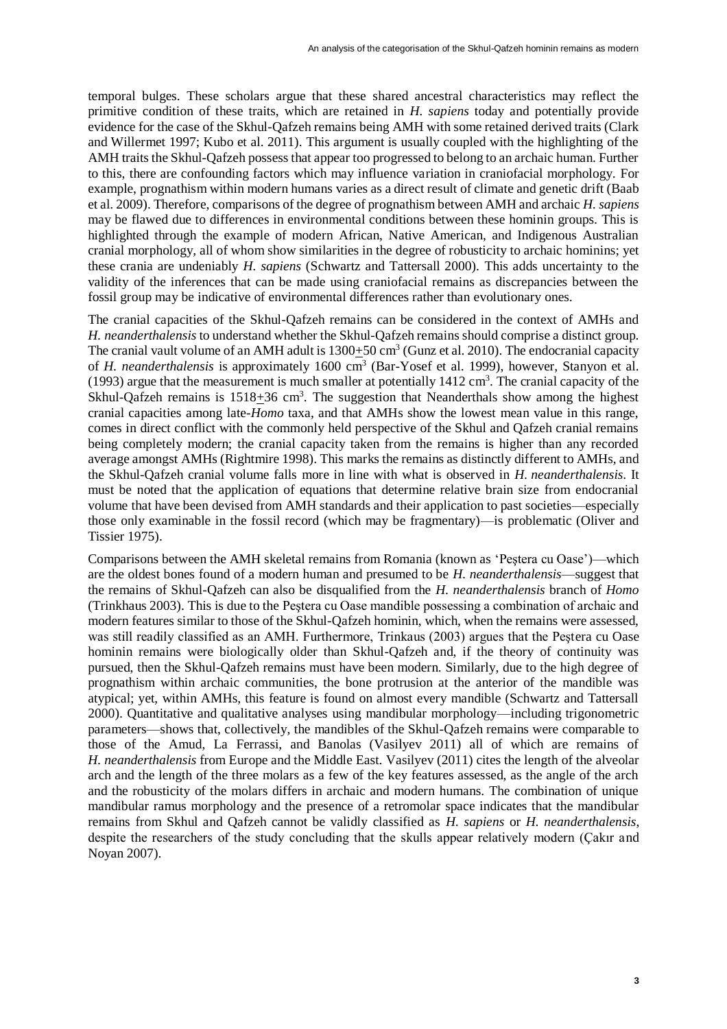temporal bulges. These scholars argue that these shared ancestral characteristics may reflect the primitive condition of these traits, which are retained in *H. sapiens* today and potentially provide evidence for the case of the Skhul-Qafzeh remains being AMH with some retained derived traits (Clark and Willermet 1997; Kubo et al. 2011). This argument is usually coupled with the highlighting of the AMH traits the Skhul-Qafzeh possess that appear too progressed to belong to an archaic human. Further to this, there are confounding factors which may influence variation in craniofacial morphology. For example, prognathism within modern humans varies as a direct result of climate and genetic drift (Baab et al. 2009). Therefore, comparisons of the degree of prognathism between AMH and archaic *H. sapiens* may be flawed due to differences in environmental conditions between these hominin groups. This is highlighted through the example of modern African, Native American, and Indigenous Australian cranial morphology, all of whom show similarities in the degree of robusticity to archaic hominins; yet these crania are undeniably *H. sapiens* (Schwartz and Tattersall 2000)*.* This adds uncertainty to the validity of the inferences that can be made using craniofacial remains as discrepancies between the fossil group may be indicative of environmental differences rather than evolutionary ones.

The cranial capacities of the Skhul-Qafzeh remains can be considered in the context of AMHs and *H. neanderthalensis* to understand whether the Skhul-Qafzeh remains should comprise a distinct group. The cranial vault volume of an AMH adult is  $1300+50$  cm<sup>3</sup> (Gunz et al. 2010). The endocranial capacity of *H. neanderthalensis* is approximately 1600 cm<sup>3</sup> (Bar-Yosef et al. 1999), however, Stanyon et al. (1993) argue that the measurement is much smaller at potentially  $1412 \text{ cm}^3$ . The cranial capacity of the Skhul-Qafzeh remains is  $1518 \pm 36$  cm<sup>3</sup>. The suggestion that Neanderthals show among the highest cranial capacities among late-*Homo* taxa, and that AMHs show the lowest mean value in this range, comes in direct conflict with the commonly held perspective of the Skhul and Qafzeh cranial remains being completely modern; the cranial capacity taken from the remains is higher than any recorded average amongst AMHs (Rightmire 1998). This marks the remains as distinctly different to AMHs, and the Skhul-Qafzeh cranial volume falls more in line with what is observed in *H. neanderthalensis*. It must be noted that the application of equations that determine relative brain size from endocranial volume that have been devised from AMH standards and their application to past societies—especially those only examinable in the fossil record (which may be fragmentary)—is problematic (Oliver and Tissier 1975).

Comparisons between the AMH skeletal remains from Romania (known as 'Peştera cu Oase')—which are the oldest bones found of a modern human and presumed to be *H. neanderthalensis*—suggest that the remains of Skhul-Qafzeh can also be disqualified from the *H. neanderthalensis* branch of *Homo* (Trinkhaus 2003). This is due to the Peştera cu Oase mandible possessing a combination of archaic and modern features similar to those of the Skhul-Qafzeh hominin, which, when the remains were assessed, was still readily classified as an AMH. Furthermore, Trinkaus (2003) argues that the Peştera cu Oase hominin remains were biologically older than Skhul-Qafzeh and, if the theory of continuity was pursued, then the Skhul-Qafzeh remains must have been modern. Similarly, due to the high degree of prognathism within archaic communities, the bone protrusion at the anterior of the mandible was atypical; yet, within AMHs, this feature is found on almost every mandible (Schwartz and Tattersall 2000). Quantitative and qualitative analyses using mandibular morphology—including trigonometric parameters—shows that, collectively, the mandibles of the Skhul-Qafzeh remains were comparable to those of the Amud, La Ferrassi, and Banolas (Vasilyev 2011) all of which are remains of *H. neanderthalensis* from Europe and the Middle East. Vasilyev (2011) cites the length of the alveolar arch and the length of the three molars as a few of the key features assessed, as the angle of the arch and the robusticity of the molars differs in archaic and modern humans. The combination of unique mandibular ramus morphology and the presence of a retromolar space indicates that the mandibular remains from Skhul and Qafzeh cannot be validly classified as *H. sapiens* or *H. neanderthalensis*, despite the researchers of the study concluding that the skulls appear relatively modern (Çakır and Noyan 2007).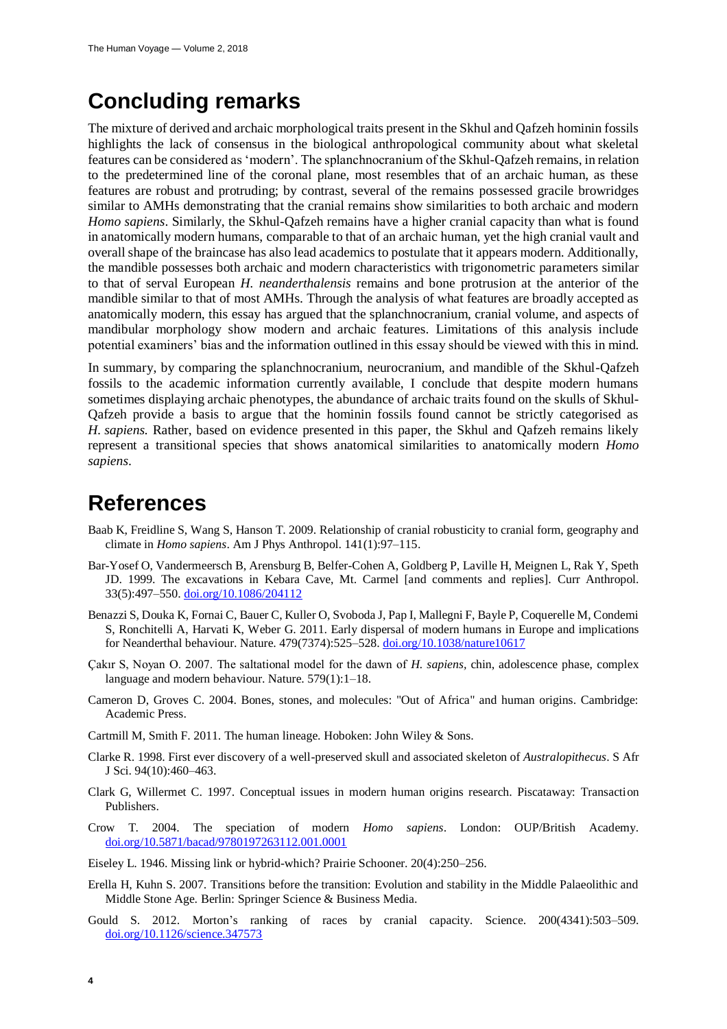## **Concluding remarks**

The mixture of derived and archaic morphological traits present in the Skhul and Qafzeh hominin fossils highlights the lack of consensus in the biological anthropological community about what skeletal features can be considered as 'modern'. The splanchnocranium of the Skhul-Qafzeh remains, in relation to the predetermined line of the coronal plane, most resembles that of an archaic human, as these features are robust and protruding; by contrast, several of the remains possessed gracile browridges similar to AMHs demonstrating that the cranial remains show similarities to both archaic and modern *Homo sapiens*. Similarly, the Skhul-Qafzeh remains have a higher cranial capacity than what is found in anatomically modern humans, comparable to that of an archaic human, yet the high cranial vault and overall shape of the braincase has also lead academics to postulate that it appears modern. Additionally, the mandible possesses both archaic and modern characteristics with trigonometric parameters similar to that of serval European *H. neanderthalensis* remains and bone protrusion at the anterior of the mandible similar to that of most AMHs. Through the analysis of what features are broadly accepted as anatomically modern, this essay has argued that the splanchnocranium, cranial volume, and aspects of mandibular morphology show modern and archaic features. Limitations of this analysis include potential examiners' bias and the information outlined in this essay should be viewed with this in mind.

In summary, by comparing the splanchnocranium, neurocranium, and mandible of the Skhul-Qafzeh fossils to the academic information currently available, I conclude that despite modern humans sometimes displaying archaic phenotypes, the abundance of archaic traits found on the skulls of Skhul-Qafzeh provide a basis to argue that the hominin fossils found cannot be strictly categorised as *H. sapiens.* Rather, based on evidence presented in this paper, the Skhul and Qafzeh remains likely represent a transitional species that shows anatomical similarities to anatomically modern *Homo sapiens*.

#### **References**

- Baab K, Freidline S, Wang S, Hanson T. 2009. Relationship of cranial robusticity to cranial form, geography and climate in *Homo sapiens*. Am J Phys Anthropol. 141(1):97–115.
- Bar-Yosef O, Vandermeersch B, Arensburg B, Belfer-Cohen A, Goldberg P, Laville H, Meignen L, Rak Y, Speth JD. 1999. The excavations in Kebara Cave, Mt. Carmel [and comments and replies]. Curr Anthropol. 33(5):497–550[. doi.org/10.1086/204112](https://doi.org/10.1086/204112)
- Benazzi S, Douka K, Fornai C, Bauer C, Kuller O, Svoboda J, Pap I, Mallegni F, Bayle P, Coquerelle M, Condemi S, Ronchitelli A, Harvati K, Weber G. 2011. Early dispersal of modern humans in Europe and implications for Neanderthal behaviour. Nature. 479(7374):525–528. [doi.org/10.1038/nature10617](https://doi.org/10.1038/nature10617)
- Çakır S, Noyan O. 2007. The saltational model for the dawn of *H. sapiens,* chin, adolescence phase, complex language and modern behaviour. Nature. 579(1):1–18.
- Cameron D, Groves C. 2004. Bones, stones, and molecules: "Out of Africa" and human origins. Cambridge: Academic Press.
- Cartmill M, Smith F. 2011. The human lineage. Hoboken: John Wiley & Sons.
- Clarke R. 1998. First ever discovery of a well-preserved skull and associated skeleton of *Australopithecus*. S Afr J Sci. 94(10):460–463.
- Clark G, Willermet C. 1997. Conceptual issues in modern human origins research. Piscataway: Transaction Publishers.
- Crow T. 2004. The speciation of modern *Homo sapiens*. London: OUP/British Academy. [doi.org/10.5871/bacad/9780197263112.001.0001](https://doi.org/10.5871/bacad/9780197263112.001.0001)
- Eiseley L. 1946. Missing link or hybrid-which? Prairie Schooner. 20(4):250–256.
- Erella H, Kuhn S. 2007. Transitions before the transition: Evolution and stability in the Middle Palaeolithic and Middle Stone Age. Berlin: Springer Science & Business Media.
- Gould S. 2012. Morton's ranking of races by cranial capacity. Science. 200(4341):503–509. [doi.org/10.1126/science.347573](https://doi.org/10.1126/science.347573)